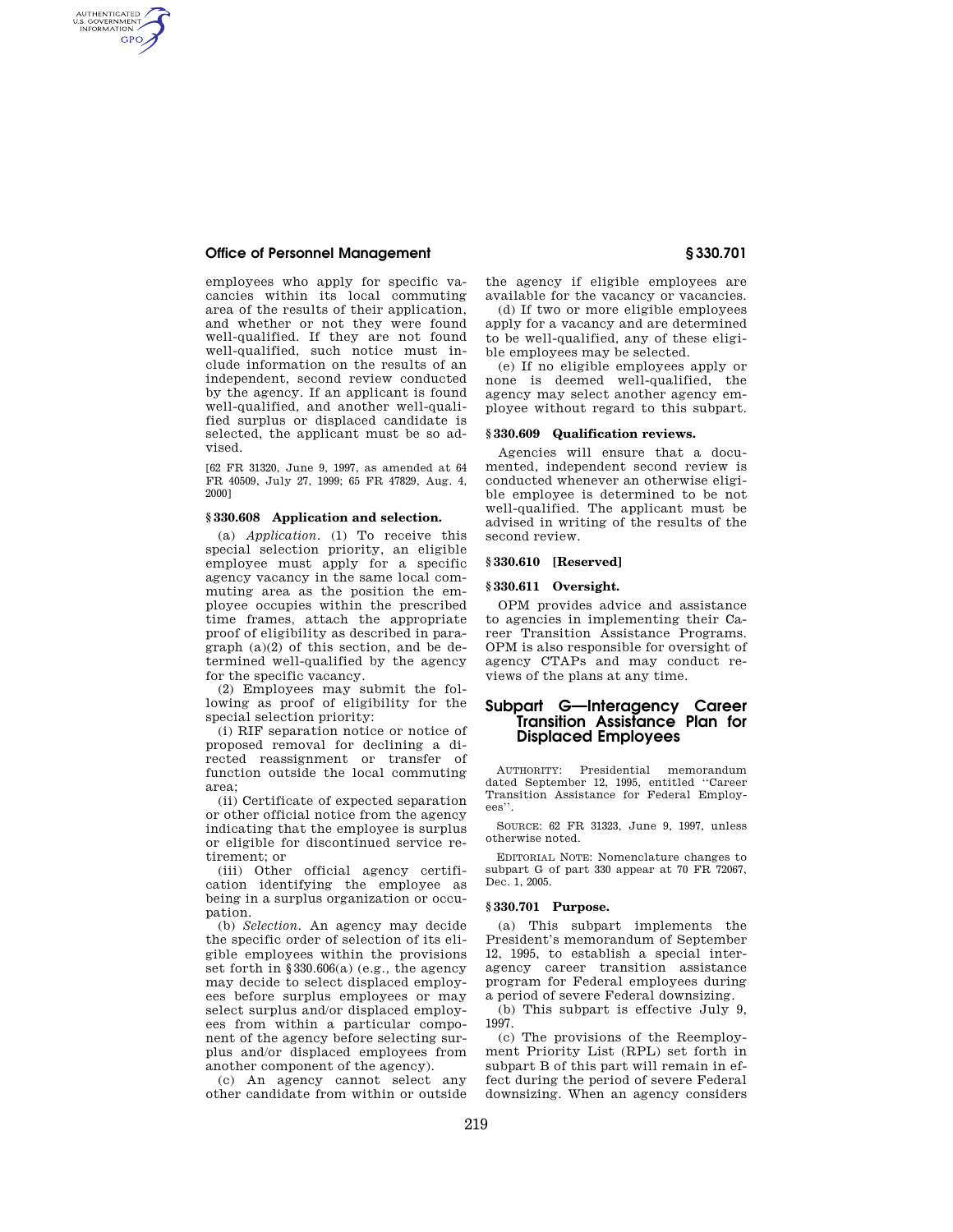## **Office of Personnel Management § 330.701**

AUTHENTICATED<br>U.S. GOVERNMENT<br>INFORMATION **GPO** 

> employees who apply for specific vacancies within its local commuting area of the results of their application, and whether or not they were found well-qualified. If they are not found well-qualified, such notice must include information on the results of an independent, second review conducted by the agency. If an applicant is found well-qualified, and another well-qualified surplus or displaced candidate is selected, the applicant must be so advised.

[62 FR 31320, June 9, 1997, as amended at 64 FR 40509, July 27, 1999; 65 FR 47829, Aug. 4, 2000]

#### **§ 330.608 Application and selection.**

(a) *Application.* (1) To receive this special selection priority, an eligible employee must apply for a specific agency vacancy in the same local commuting area as the position the employee occupies within the prescribed time frames, attach the appropriate proof of eligibility as described in paragraph (a)(2) of this section, and be determined well-qualified by the agency for the specific vacancy.

(2) Employees may submit the following as proof of eligibility for the special selection priority:

(i) RIF separation notice or notice of proposed removal for declining a directed reassignment or transfer of function outside the local commuting area;

(ii) Certificate of expected separation or other official notice from the agency indicating that the employee is surplus or eligible for discontinued service retirement; or

(iii) Other official agency certification identifying the employee as being in a surplus organization or occupation.

(b) *Selection.* An agency may decide the specific order of selection of its eligible employees within the provisions set forth in §330.606(a) (e.g., the agency may decide to select displaced employees before surplus employees or may select surplus and/or displaced employees from within a particular component of the agency before selecting surplus and/or displaced employees from another component of the agency).

(c) An agency cannot select any other candidate from within or outside the agency if eligible employees are available for the vacancy or vacancies.

(d) If two or more eligible employees apply for a vacancy and are determined to be well-qualified, any of these eligible employees may be selected.

(e) If no eligible employees apply or none is deemed well-qualified, the agency may select another agency employee without regard to this subpart.

### **§ 330.609 Qualification reviews.**

Agencies will ensure that a documented, independent second review is conducted whenever an otherwise eligible employee is determined to be not well-qualified. The applicant must be advised in writing of the results of the second review.

## **§ 330.610 [Reserved]**

#### **§ 330.611 Oversight.**

OPM provides advice and assistance to agencies in implementing their Career Transition Assistance Programs. OPM is also responsible for oversight of agency CTAPs and may conduct reviews of the plans at any time.

# **Subpart G—Interagency Career Transition Assistance Plan for Displaced Employees**

AUTHORITY: Presidential memorandum dated September 12, 1995, entitled ''Career Transition Assistance for Federal Employees''.

SOURCE: 62 FR 31323, June 9, 1997, unless otherwise noted.

EDITORIAL NOTE: Nomenclature changes to subpart G of part 330 appear at 70 FR 72067, Dec. 1, 2005.

### **§ 330.701 Purpose.**

(a) This subpart implements the President's memorandum of September 12, 1995, to establish a special interagency career transition assistance program for Federal employees during a period of severe Federal downsizing.

(b) This subpart is effective July 9, 1997.

(c) The provisions of the Reemployment Priority List (RPL) set forth in subpart B of this part will remain in effect during the period of severe Federal downsizing. When an agency considers